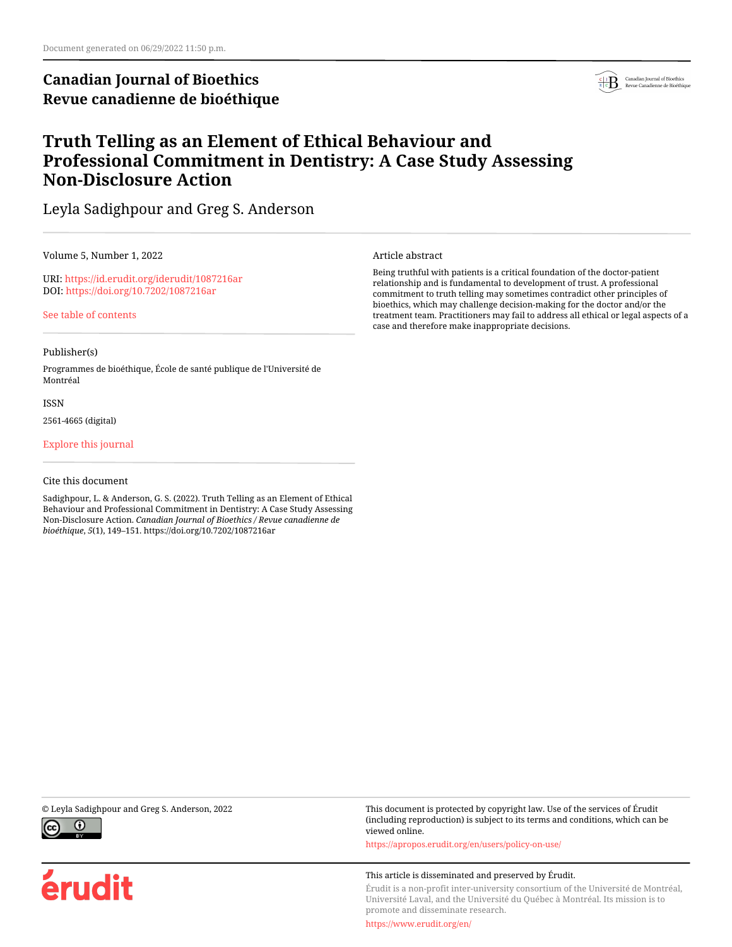# **Canadian Journal of Bioethics Revue canadienne de bioéthique**



# **Truth Telling as an Element of Ethical Behaviour and Professional Commitment in Dentistry: A Case Study Assessing Non-Disclosure Action**

Leyla Sadighpour and Greg S. Anderson

Volume 5, Number 1, 2022

URI:<https://id.erudit.org/iderudit/1087216ar> DOI:<https://doi.org/10.7202/1087216ar>

[See table of contents](https://www.erudit.org/en/journals/bioethics/2022-v5-n1-bioethics06848/)

### Publisher(s)

Programmes de bioéthique, École de santé publique de l'Université de Montréal

ISSN

2561-4665 (digital)

[Explore this journal](https://www.erudit.org/en/journals/bioethics/)

### Cite this document

Sadighpour, L. & Anderson, G. S. (2022). Truth Telling as an Element of Ethical Behaviour and Professional Commitment in Dentistry: A Case Study Assessing Non-Disclosure Action. *Canadian Journal of Bioethics / Revue canadienne de bioéthique*, *5*(1), 149–151. https://doi.org/10.7202/1087216ar

Article abstract

Being truthful with patients is a critical foundation of the doctor-patient relationship and is fundamental to development of trust. A professional commitment to truth telling may sometimes contradict other principles of bioethics, which may challenge decision-making for the doctor and/or the treatment team. Practitioners may fail to address all ethical or legal aspects of a case and therefore make inappropriate decisions.





© Leyla Sadighpour and Greg S. Anderson, 2022 This document is protected by copyright law. Use of the services of Érudit (including reproduction) is subject to its terms and conditions, which can be viewed online.

<https://apropos.erudit.org/en/users/policy-on-use/>

#### This article is disseminated and preserved by Érudit.

Érudit is a non-profit inter-university consortium of the Université de Montréal, Université Laval, and the Université du Québec à Montréal. Its mission is to promote and disseminate research.

<https://www.erudit.org/en/>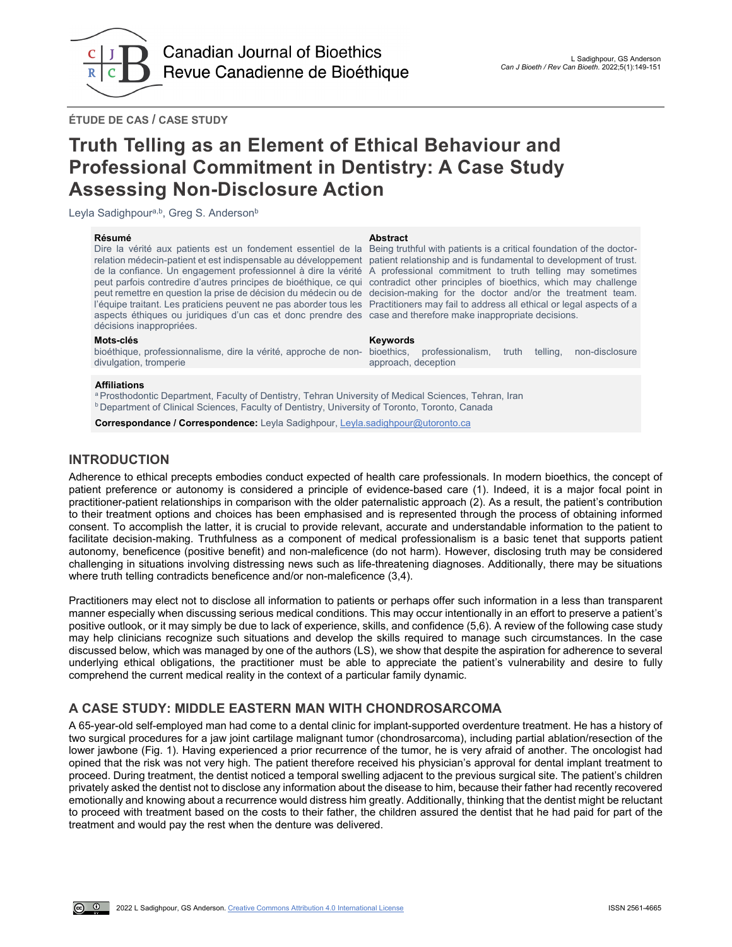

bioethics, professionalism, truth telling, non-disclosure

**ÉTUDE DE CAS / CASE STUDY**

# **Truth Telling as an Element of Ethical Behaviour and Professional Commitment in Dentistry: A Case Study Assessing Non-Disclosure Action**

Leyla Sadighpour<sup>a,b</sup>, Greg S. Anderson<sup>b</sup>

**Résumé Abstract** Dire la vérité aux patients est un fondement essentiel de la Being truthful with patients is a critical foundation of the doctorrelation médecin-patient et est indispensable au développement patient relationship and is fundamental to development of trust. de la confiance. Un engagement professionnel à dire la vérité A professional commitment to truth telling may sometimes peut parfois contredire d'autres principes de bioéthique, ce qui contradict other principles of bioethics, which may challenge peut remettre en question la prise de décision du médecin ou de decision-making for the doctor and/or the treatment team. l'équipe traitant. Les praticiens peuvent ne pas aborder tous les Practitioners may fail to address all ethical or legal aspects of a aspects éthiques ou juridiques d'un cas et donc prendre des case and therefore make inappropriate decisions. décisions inappropriées.

#### **Mots-clés Keywords**

bioéthique, professionnalisme, dire la vérité, approche de nondivulgation, tromperie

### **Affiliations**

a Prosthodontic Department, Faculty of Dentistry, Tehran University of Medical Sciences, Tehran, Iran b Department of Clinical Sciences, Faculty of Dentistry, University of Toronto, Toronto, Canada

**Correspondance / Correspondence:** Leyla Sadighpour, [Leyla.sadighpour@utoronto.ca](mailto:Leyla.sadighpour@utoronto.ca)

# **INTRODUCTION**

Adherence to ethical precepts embodies conduct expected of health care professionals. In modern bioethics, the concept of patient preference or autonomy is considered a principle of evidence-based care (1). Indeed, it is a major focal point in practitioner-patient relationships in comparison with the older paternalistic approach (2). As a result, the patient's contribution to their treatment options and choices has been emphasised and is represented through the process of obtaining informed consent. To accomplish the latter, it is crucial to provide relevant, accurate and understandable information to the patient to facilitate decision-making. Truthfulness as a component of medical professionalism is a basic tenet that supports patient autonomy, beneficence (positive benefit) and non-maleficence (do not harm). However, disclosing truth may be considered challenging in situations involving distressing news such as life-threatening diagnoses. Additionally, there may be situations where truth telling contradicts beneficence and/or non-maleficence (3,4).

approach, deception

Practitioners may elect not to disclose all information to patients or perhaps offer such information in a less than transparent manner especially when discussing serious medical conditions. This may occur intentionally in an effort to preserve a patient's positive outlook, or it may simply be due to lack of experience, skills, and confidence (5,6). A review of the following case study may help clinicians recognize such situations and develop the skills required to manage such circumstances. In the case discussed below, which was managed by one of the authors (LS), we show that despite the aspiration for adherence to several underlying ethical obligations, the practitioner must be able to appreciate the patient's vulnerability and desire to fully comprehend the current medical reality in the context of a particular family dynamic.

# **A CASE STUDY: MIDDLE EASTERN MAN WITH CHONDROSARCOMA**

A 65-year-old self-employed man had come to a dental clinic for implant-supported overdenture treatment. He has a history of two surgical procedures for a jaw joint cartilage malignant tumor (chondrosarcoma), including partial ablation/resection of the lower jawbone (Fig. 1). Having experienced a prior recurrence of the tumor, he is very afraid of another. The oncologist had opined that the risk was not very high. The patient therefore received his physician's approval for dental implant treatment to proceed. During treatment, the dentist noticed a temporal swelling adjacent to the previous surgical site. The patient's children privately asked the dentist not to disclose any information about the disease to him, because their father had recently recovered emotionally and knowing about a recurrence would distress him greatly. Additionally, thinking that the dentist might be reluctant to proceed with treatment based on the costs to their father, the children assured the dentist that he had paid for part of the treatment and would pay the rest when the denture was delivered.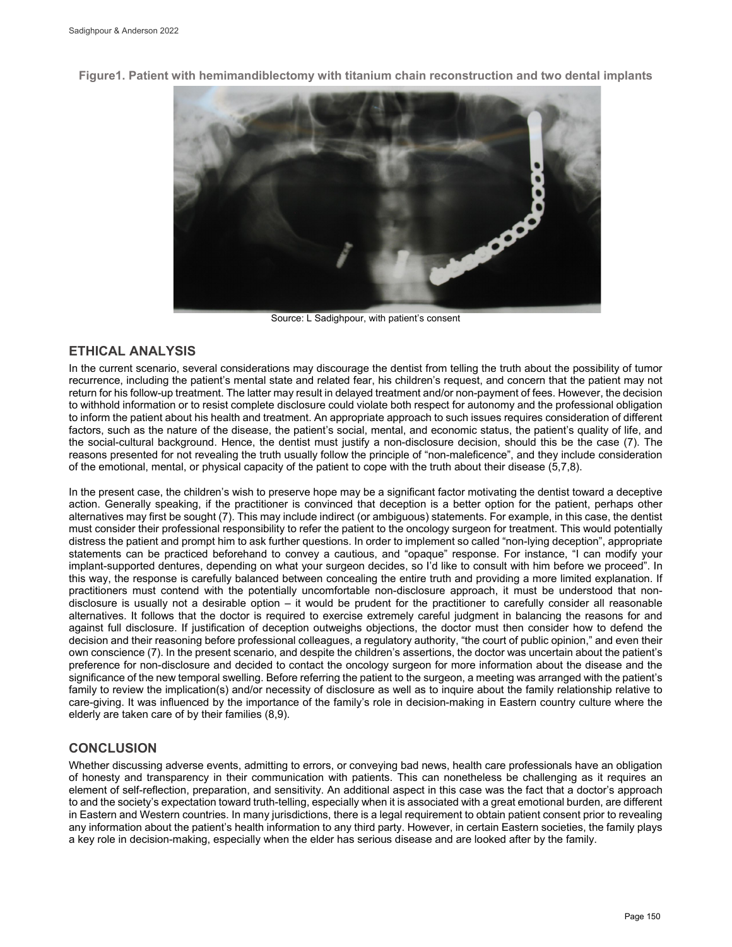

**Figure1. Patient with hemimandiblectomy with titanium chain reconstruction and two dental implants**

Source: L Sadighpour, with patient's consent

# **ETHICAL ANALYSIS**

In the current scenario, several considerations may discourage the dentist from telling the truth about the possibility of tumor recurrence, including the patient's mental state and related fear, his children's request, and concern that the patient may not return for his follow-up treatment. The latter may result in delayed treatment and/or non-payment of fees. However, the decision to withhold information or to resist complete disclosure could violate both respect for autonomy and the professional obligation to inform the patient about his health and treatment. An appropriate approach to such issues requires consideration of different factors, such as the nature of the disease, the patient's social, mental, and economic status, the patient's quality of life, and the social-cultural background. Hence, the dentist must justify a non-disclosure decision, should this be the case (7). The reasons presented for not revealing the truth usually follow the principle of "non-maleficence", and they include consideration of the emotional, mental, or physical capacity of the patient to cope with the truth about their disease (5,7,8).

In the present case, the children's wish to preserve hope may be a significant factor motivating the dentist toward a deceptive action. Generally speaking, if the practitioner is convinced that deception is a better option for the patient, perhaps other alternatives may first be sought (7). This may include indirect (or ambiguous) statements. For example, in this case, the dentist must consider their professional responsibility to refer the patient to the oncology surgeon for treatment. This would potentially distress the patient and prompt him to ask further questions. In order to implement so called "non-lying deception", appropriate statements can be practiced beforehand to convey a cautious, and "opaque" response. For instance, "I can modify your implant-supported dentures, depending on what your surgeon decides, so I'd like to consult with him before we proceed". In this way, the response is carefully balanced between concealing the entire truth and providing a more limited explanation. If practitioners must contend with the potentially uncomfortable non-disclosure approach, it must be understood that nondisclosure is usually not a desirable option – it would be prudent for the practitioner to carefully consider all reasonable alternatives. It follows that the doctor is required to exercise extremely careful judgment in balancing the reasons for and against full disclosure. If justification of deception outweighs objections, the doctor must then consider how to defend the decision and their reasoning before professional colleagues, a regulatory authority, "the court of public opinion," and even their own conscience (7). In the present scenario, and despite the children's assertions, the doctor was uncertain about the patient's preference for non-disclosure and decided to contact the oncology surgeon for more information about the disease and the significance of the new temporal swelling. Before referring the patient to the surgeon, a meeting was arranged with the patient's family to review the implication(s) and/or necessity of disclosure as well as to inquire about the family relationship relative to care-giving. It was influenced by the importance of the family's role in decision-making in Eastern country culture where the elderly are taken care of by their families (8,9).

# **CONCLUSION**

Whether discussing adverse events, admitting to errors, or conveying bad news, health care professionals have an obligation of honesty and transparency in their communication with patients. This can nonetheless be challenging as it requires an element of self-reflection, preparation, and sensitivity. An additional aspect in this case was the fact that a doctor's approach to and the society's expectation toward truth-telling, especially when it is associated with a great emotional burden, are different in Eastern and Western countries. In many jurisdictions, there is a legal requirement to obtain patient consent prior to revealing any information about the patient's health information to any third party. However, in certain Eastern societies, the family plays a key role in decision-making, especially when the elder has serious disease and are looked after by the family.